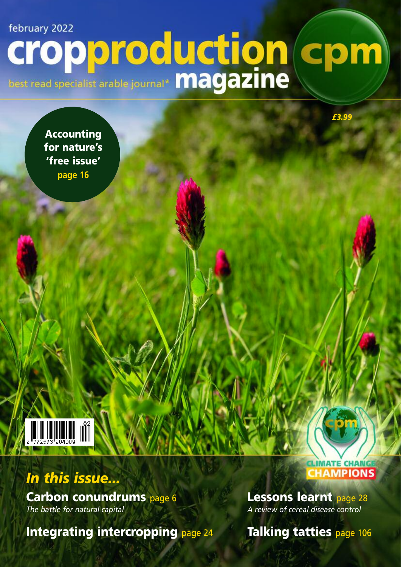# february 2022 Cropporoduction cpm

Accounting for nature's 'free issue' **page 16**



# *In this issue...*

Carbon conundrums page 6 *The battle for natural capital*

Integrating intercropping page 24

# **HAMPIONS**

*£3.99*

Lessons learnt page 28 *A review of cereal disease control*

Talking tatties page 106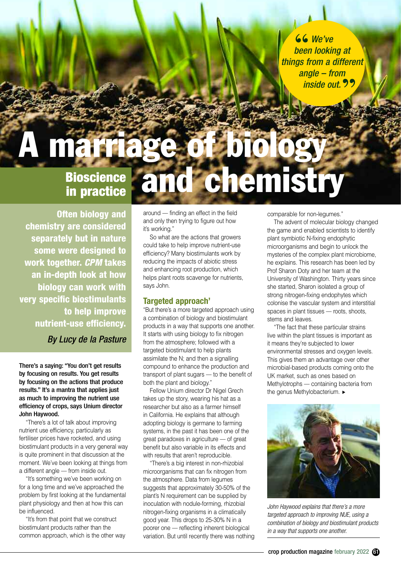**66** We've been lookin *been looking at things from a different angle – from inside out.* **"**

# **Bioscience in practice marriag and chemistry**

**Often biology and chemistry are considered separately but in nature some were designed to work together.** *CPM* **takes an in-depth look at how biology can work with very specific biostimulants to help improve nutrient-use efficiency.**

*By Lucy de la Pasture*

There's a saying: "You don't get results by focusing on results. You get results by focusing on the actions that produce results." It's a mantra that applies just as much to improving the nutrient use efficiency of crops, says Unium director John Haywood.

"There's a lot of talk about improving nutrient use efficiency, particularly as fertiliser prices have rocketed, and using biostimulant products in a very general way is quite prominent in that discussion at the moment. We've been looking at things from a different angle - from inside out.

"It's something we've been working on for a long time and we've approached the problem by first looking at the fundamental plant physiology and then at how this can be influenced.

"It's from that point that we construct biostimulant products rather than the common approach, which is the other way around –– finding an effect in the field and only then trying to figure out how it's working."

So what are the actions that growers could take to help improve nutrient-use efficiency? Many biostimulants work by reducing the impacts of abiotic stress and enhancing root production, which helps plant roots scavenge for nutrients, says John.

## **Targeted approach'**

"But there's a more targeted approach using a combination of biology and biostimulant products in a way that supports one another. It starts with using biology to fix nitrogen from the atmosphere; followed with a targeted biostimulant to help plants assimilate the N; and then a signalling compound to enhance the production and transport of plant sugars –– to the benefit of both the plant and biology."

Fellow Unium director Dr Nigel Grech takes up the story, wearing his hat as a researcher but also as a farmer himself in California. He explains that although adopting biology is germane to farming systems, in the past it has been one of the great paradoxes in agriculture - of great benefit but also variable in its effects and with results that aren't reproducible.

"There's a big interest in non-rhizobial microorganisms that can fix nitrogen from the atmosphere. Data from legumes suggests that approximately 30-50% of the plant's N requirement can be supplied by inoculation with nodule-forming, rhizobial nitrogen-fixing organisms in a climatically good year. This drops to 25-30% N in a poorer one –– reflecting inherent biological variation. But until recently there was nothing comparable for non-legumes."

The advent of molecular biology changed the game and enabled scientists to identify plant symbiotic N-fixing endophytic microorganisms and begin to unlock the mysteries of the complex plant microbiome, he explains. This research has been led by Prof Sharon Doty and her team at the University of Washington. Thirty years since she started, Sharon isolated a group of strong nitrogen-fixing endophytes which colonise the vascular system and interstitial spaces in plant tissues -- roots, shoots, stems and leaves.

"The fact that these particular strains live within the plant tissues is important as it means they're subjected to lower environmental stresses and oxygen levels. This gives them an advantage over other microbial-based products coming onto the UK market, such as ones based on Methylotrophs –– containing bacteria from the genus Methylobacterium. ►



*John Haywood explains that there's a more targeted approach to improving NUE, using a combination of biology and biostimulant products in a way that supports one another.*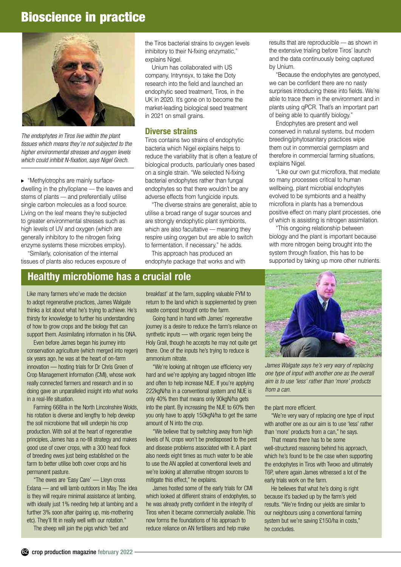# **Bioscience in practice**



*The endophytes in Tiros live within the plant tissues which means they're not subjected to the higher environmental stresses and oxygen levels which could inhibit N-fixation, says Nigel Grech.*

"Methylotrophs are mainly surface-**▲**dwelling in the phylloplane — the leaves and stems of plants - and preferentially utilise single carbon molecules as a food source. Living on the leaf means they're subjected to greater environmental stresses such as high levels of UV and oxygen (which are generally inhibitory to the nitrogen fixing enzyme systems these microbes employ).

"Similarly, colonisation of the internal tissues of plants also reduces exposure of

the Tiros bacterial strains to oxygen levels inhibitory to their N-fixing enzymatic," explains Nigel.

Unium has collaborated with US company, Intrynsyx, to take the Doty research into the field and launched an endophytic seed treatment, Tiros, in the UK in 2020. It's gone on to become the market-leading biological seed treatment in 2021 on small grains.

### **Diverse strains**

Tiros contains two strains of endophytic bacteria which Nigel explains helps to reduce the variability that is often a feature of biological products, particularly ones based on a single strain. "We selected N-fixing bacterial endophytes rather than fungal endophytes so that there wouldn't be any adverse effects from fungicide inputs.

"The diverse strains are generalist, able to utilise a broad range of sugar sources and are strongly endophytic plant symbionts, which are also facultative – meaning they respire using oxygen but are able to switch to fermentation, if necessary," he adds.

This approach has produced an endophyte package that works and with

## **Healthy microbiome has a crucial role**

Like many farmers who've made the decision to adopt regenerative practices, James Walgate thinks a lot about what he's trying to achieve. He's thirsty for knowledge to further his understanding of how to grow crops and the biology that can support them. Assimilating information in his DNA.

Even before James began his journey into conservation agriculture (which merged into regen) six years ago, he was at the heart of on-farm innovation –– hosting trials for Dr Chris Green of Crop Management Information (CMI), whose work really connected farmers and research and in so doing gave an unparalleled insight into what works in a real-life situation.

Farming 668ha in the North Lincolnshire Wolds, his rotation is diverse and lengthy to help develop the soil microbiome that will underpin his crop production. With soil at the heart of regenerative principles, James has a no-till strategy and makes good use of cover crops, with a 300 head flock of breeding ewes just being established on the farm to better utilise both cover crops and his permanent pasture.

"The ewes are 'Easy Care' –– Lleyn cross Exlana –– and will lamb outdoors in May. The idea is they will require minimal assistance at lambing, with ideally just 1% needing help at lambing and a further 3% soon after (pairing up, mis-mothering etc). They'll fit in really well with our rotation."

The sheep will join the pigs which 'bed and

breakfast' at the farm, suppling valuable FYM to return to the land which is supplemented by green waste compost brought onto the farm.

Going hand in hand with James' regenerative journey is a desire to reduce the farm's reliance on synthetic inputs — with organic regen being the Holy Grail, though he accepts he may not quite get there. One of the inputs he's trying to reduce is ammonium nitrate.

"We're looking at nitrogen use efficiency very hard and we're applying any bagged nitrogen little and often to help increase NUE. If you're applying 222kgN/ha in a conventional system and NUE is only 40% then that means only 90kgN/ha gets into the plant. By increasing the NUE to 60% then you only have to apply 150kgN/ha to get the same amount of N into the crop.

"We believe that by switching away from high levels of N, crops won't be predisposed to the pest and disease problems associated with it. A plant also needs eight times as much water to be able to use the AN applied at conventional levels and we're looking at alternative nitrogen sources to mitigate this effect," he explains.

James hosted some of the early trials for CMI which looked at different strains of endophytes, so he was already pretty confident in the integrity of Tiros when it became commercially available. This now forms the foundations of his approach to reduce reliance on AN fertilisers and help make

results that are reproducible - as shown in the extensive trialing before Tiros' launch and the data continuously being captured by Unium.

"Because the endophytes are genotyped, we can be confident there are no nasty surprises introducing these into fields. We're able to trace them in the environment and in plants using qPCR. That's an important part of being able to quantify biology."

Endophytes are present and well conserved in natural systems, but modern breeding/phytosanitary practices wipe them out in commercial germplasm and therefore in commercial farming situations, explains Nigel.

"Like our own gut microflora, that mediate so many processes critical to human wellbeing, plant microbial endophytes evolved to be symbionts and a healthy microflora in plants has a tremendous positive effect on many plant processes, one of which is assisting is nitrogen assimilation.

"This ongoing relationship between biology and the plant is important because with more nitrogen being brought into the system through fixation, this has to be supported by taking up more other nutrients.



*James Walgate says he's very wary of replacing one type of input with another one as the overall aim is to use 'less' rather than 'more' products from a can.*

the plant more efficient.

"We're very wary of replacing one type of input with another one as our aim is to use 'less' rather than 'more' products from a can," he says.

That means there has to be some well-structured reasoning behind his approach. which he's found to be the case when supporting the endophytes in Tiros with Twoxo and ultimately T6P, where again James witnessed a lot of the early trials work on the farm.

He believes that what he's doing is right because it's backed up by the farm's yield results. "We're finding our yields are similar to our neighbours using a conventional farming system but we're saving £150/ha in costs," he concludes.